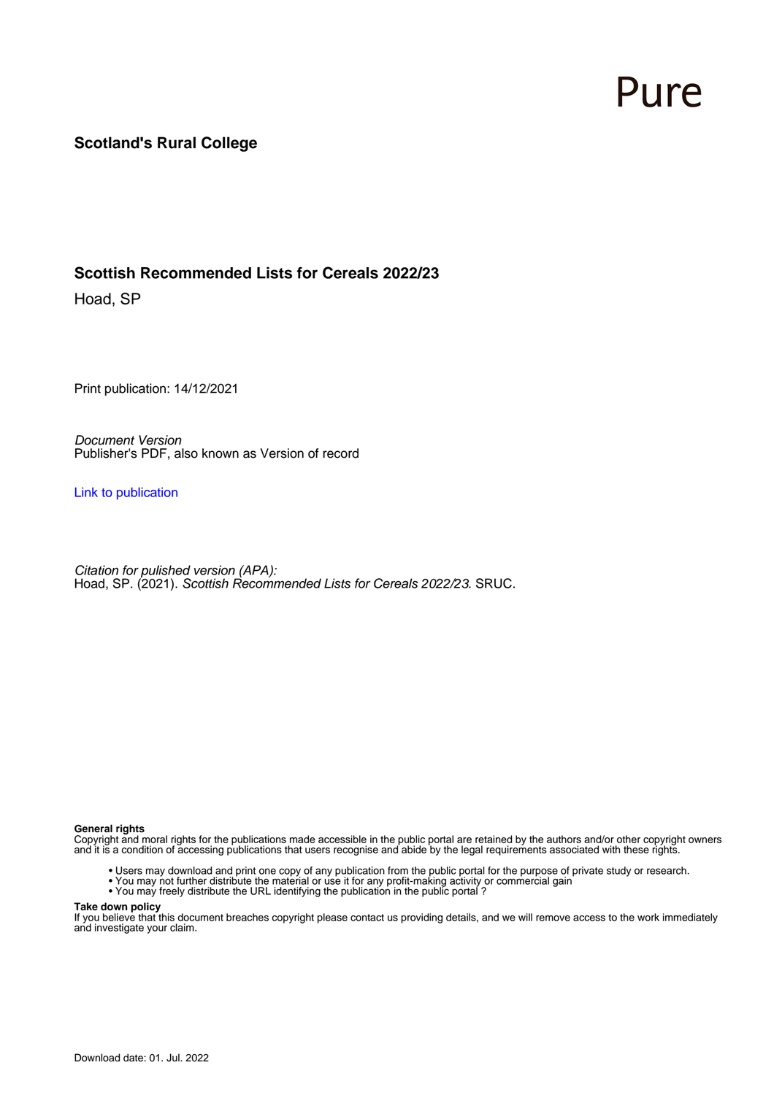# Pure

#### **Scotland's Rural College**

#### **Scottish Recommended Lists for Cereals 2022/23**

Hoad, SP

Print publication: 14/12/2021

Document Version Publisher's PDF, also known as Version of record

[Link to publication](https://pure.sruc.ac.uk/en/publications/47a6709c-787d-4de8-9d22-28ca5c25082f)

Citation for pulished version (APA): Hoad, SP. (2021). Scottish Recommended Lists for Cereals 2022/23. SRUC.

#### **General rights**

Copyright and moral rights for the publications made accessible in the public portal are retained by the authors and/or other copyright owners and it is a condition of accessing publications that users recognise and abide by the legal requirements associated with these rights.

- Users may download and print one copy of any publication from the public portal for the purpose of private study or research.
- You may not further distribute the material or use it for any profit-making activity or commercial gain
- You may freely distribute the URL identifying the publication in the public portal ?

#### **Take down policy**

If you believe that this document breaches copyright please contact us providing details, and we will remove access to the work immediately and investigate your claim.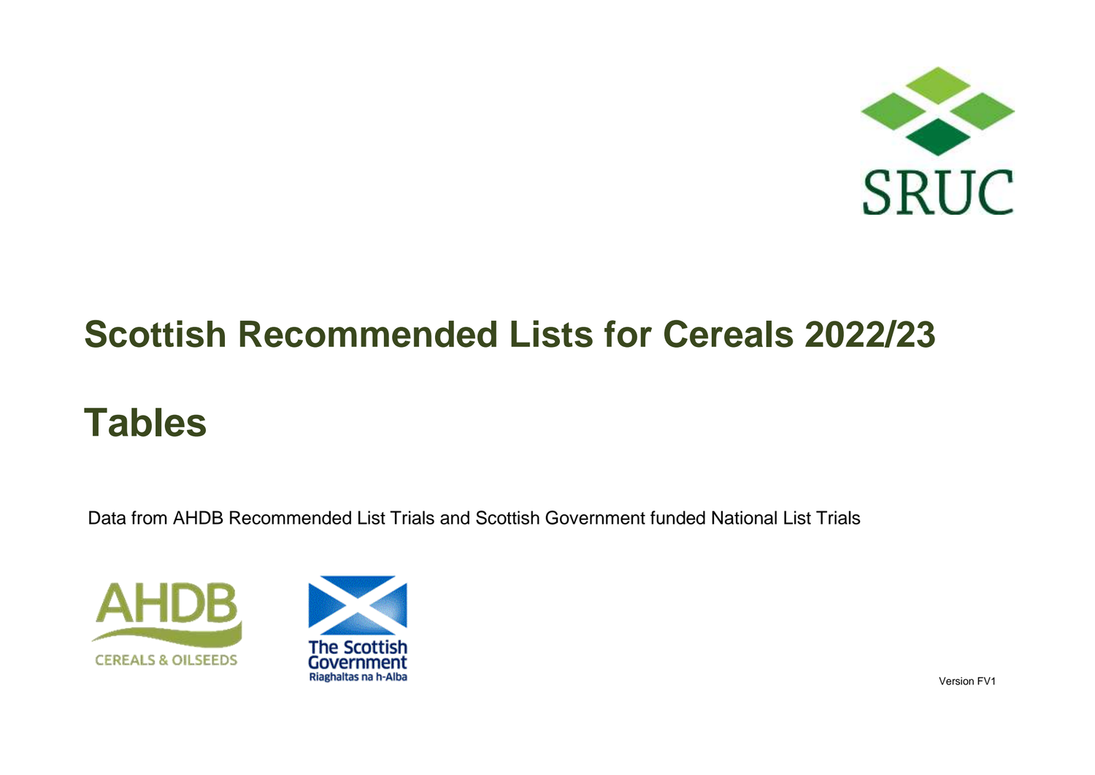

# **Tables**

Data from AHDB Recommended List Trials and Scottish Government funded National List Trials





Version FV1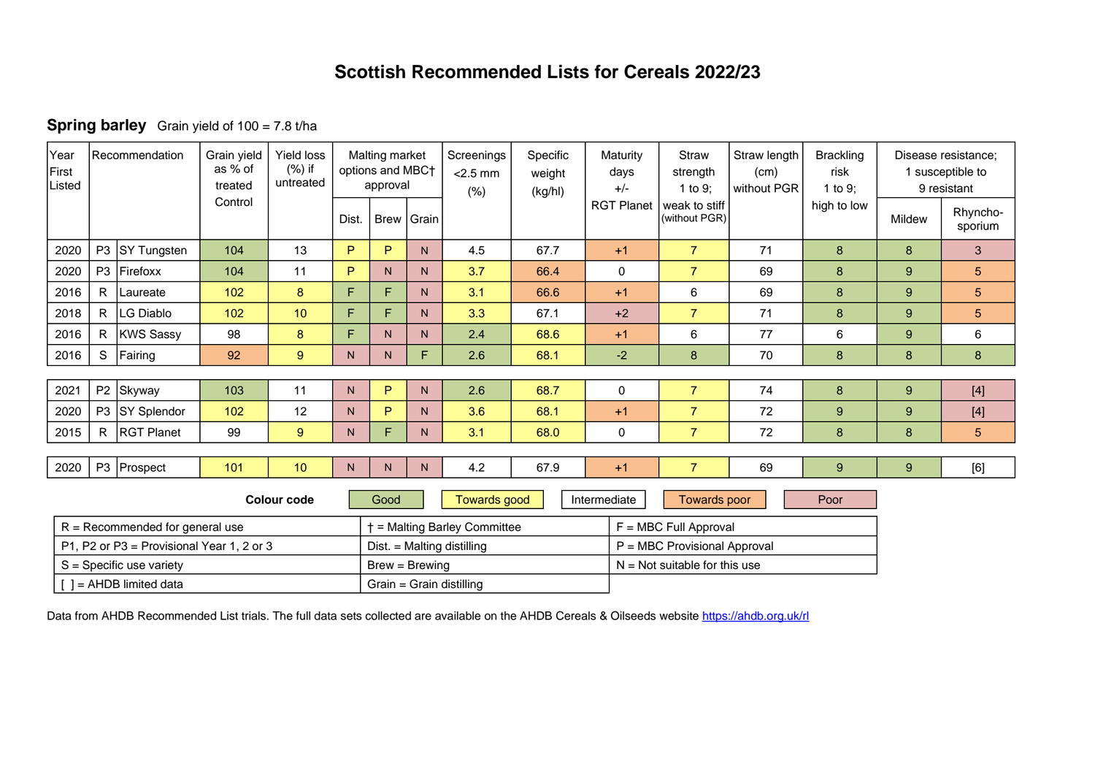|  | <b>Spring barley</b> Grain yield of 100 = 7.8 t/ha |
|--|----------------------------------------------------|
|--|----------------------------------------------------|

| Year<br>First<br>Listed | l Recommendation                          |                                   | Grain yield<br>as % of<br>treated | <b>Yield loss</b><br>$(\%)$ if<br>untreated | Malting market<br>options and MBC+<br>approval |      |                | Screenings<br>$<$ 2.5 mm<br>(% ) | Specific<br>weight<br>(kg/hl) | Maturity<br>days<br>$+/-$ | <b>Straw</b><br>strength<br>1 to 9: | Straw length<br>(cm)<br>without PGR | <b>Brackling</b><br>risk<br>1 to 9: |        | Disease resistance;<br>1 susceptible to<br>9 resistant |
|-------------------------|-------------------------------------------|-----------------------------------|-----------------------------------|---------------------------------------------|------------------------------------------------|------|----------------|----------------------------------|-------------------------------|---------------------------|-------------------------------------|-------------------------------------|-------------------------------------|--------|--------------------------------------------------------|
|                         |                                           |                                   | Control                           |                                             | Dist.                                          |      | Brew Grain     |                                  |                               | <b>RGT Planet</b>         | weak to stiff<br>(without PGR)      |                                     | high to low                         | Mildew | Rhyncho-<br>sporium                                    |
| 2020                    |                                           | P3 SY Tungsten                    | 104                               | 13                                          | P                                              | P    | N.             | 4.5                              | 67.7                          | $+1$                      | $\overline{7}$                      | 71                                  | 8                                   | 8      | $\mathbf{3}$                                           |
| 2020                    | P <sub>3</sub>                            | Firefoxx                          | 104                               | 11                                          | P                                              | N    | N.             | 3.7                              | 66.4                          | $\mathbf 0$               | $\overline{7}$                      | 69                                  | 8                                   | 9      | 5                                                      |
| 2016                    | R                                         | Laureate                          | 102                               | 8                                           | F                                              | F    | N.             | 3.1                              | 66.6                          | $+1$                      | 6                                   | 69                                  | 8                                   | 9      | $5\phantom{.0}$                                        |
| 2018                    | R.                                        | LG Diablo                         | 102                               | 10                                          | F                                              | F    | N.             | 3.3                              | 67.1                          | $+2$                      | $\overline{7}$                      | 71                                  | 8                                   | 9      | 5                                                      |
| 2016                    | $\mathsf{R}$                              | <b>KWS Sassy</b>                  | 98                                | 8                                           | F                                              | N    | N.             | 2.4                              | 68.6                          | $+1$                      | 6                                   | 77                                  | 6                                   | 9      | 6                                                      |
| 2016                    | S                                         | Fairing                           | 92                                | 9                                           | N.                                             | N.   | F.             | 2.6                              | 68.1                          | $-2$                      | 8                                   | 70                                  | 8                                   | 8      | 8                                                      |
|                         |                                           |                                   |                                   |                                             |                                                |      |                |                                  |                               |                           |                                     |                                     |                                     |        |                                                        |
| 2021                    |                                           | P2 Skyway                         | 103                               | 11                                          | N <sub>1</sub>                                 | P    | N <sub>1</sub> | 2.6                              | 68.7                          | 0                         | $\overline{7}$                      | 74                                  | $\bf 8$                             | 9      | $[4]$                                                  |
| 2020                    |                                           | P3 SY Splendor                    | 102                               | 12                                          | N.                                             | P    | N.             | 3.6                              | 68.1                          | $+1$                      | $\overline{7}$                      | 72                                  | 9                                   | 9      | $[4]$                                                  |
| 2015                    | R.                                        | <b>RGT Planet</b>                 | 99                                | 9                                           | N.                                             | F    | N.             | 3.1                              | 68.0                          | 0                         | $\overline{7}$                      | 72                                  | 8                                   | 8      | $5\phantom{.0}$                                        |
|                         |                                           |                                   |                                   |                                             |                                                |      |                |                                  |                               |                           |                                     |                                     |                                     |        |                                                        |
| 2020                    |                                           | P3 Prospect                       | 101                               | 10                                          | N <sub>1</sub>                                 | N    | N.             | 4.2                              | 67.9                          | $+1$                      | $\overline{7}$                      | 69                                  | 9                                   | 9      | [6]                                                    |
|                         |                                           |                                   |                                   | <b>Colour code</b>                          |                                                | Good |                | <b>Towards good</b>              |                               | Intermediate              | <b>Towards poor</b>                 |                                     | Poor                                |        |                                                        |
|                         |                                           | $R = Recommended for general use$ |                                   |                                             |                                                |      |                | + = Malting Barley Committee     |                               |                           | $F = MBC$ Full Approval             |                                     |                                     |        |                                                        |
|                         | P1, P2 or P3 = Provisional Year 1, 2 or 3 |                                   |                                   |                                             |                                                |      |                | $Dist. = Malting distilling$     |                               |                           | P = MBC Provisional Approval        |                                     |                                     |        |                                                        |
|                         | $S =$ Specific use variety                |                                   |                                   |                                             |                                                |      |                | $Brew = Brewing$                 |                               |                           | $N = Not$ suitable for this use     |                                     |                                     |        |                                                        |
|                         |                                           | $\lceil$ ] = AHDB limited data    |                                   |                                             |                                                |      |                | Grain = Grain distilling         |                               |                           |                                     |                                     |                                     |        |                                                        |

Data from AHDB Recommended List trials. The full data sets collected are available on the AHDB Cereals & Oilseeds website <https://ahdb.org.uk/rl>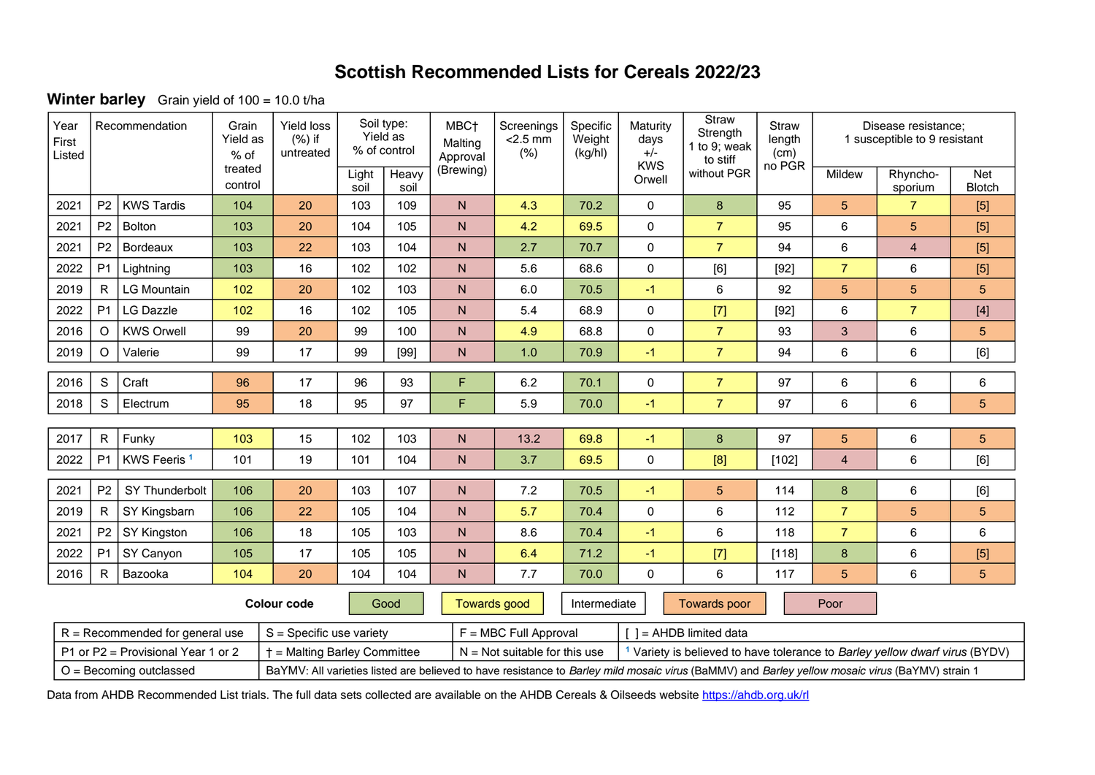**Winter barley** Grain yield of 100 = 10.0 t/ha

| Year<br>First<br>Listed                                                                                                                                                      | Recommendation                                                     |                                   | Grain<br>Yield as<br>% of | Yield loss<br>$(%)$ if<br>untreated | Soil type:<br>Yield as<br>% of control |                     | MBC <sub>†</sub><br>Malting<br>Approval | Screenings<br>$<$ 2.5 mm<br>(%) | Specific<br>Weight<br>(kg/hl) | Maturity<br>days<br>$+/-$<br><b>KWS</b> | Straw<br>Strength<br>to 9; weak<br>to stiff                                            | Straw<br>length<br>(cm)<br>no PGR | Disease resistance;<br>1 susceptible to 9 resistant |                         |                                                                                                                                                                                                                                                                                                                                                                                                                                                                                                                                                                                                                                                       |  |
|------------------------------------------------------------------------------------------------------------------------------------------------------------------------------|--------------------------------------------------------------------|-----------------------------------|---------------------------|-------------------------------------|----------------------------------------|---------------------|-----------------------------------------|---------------------------------|-------------------------------|-----------------------------------------|----------------------------------------------------------------------------------------|-----------------------------------|-----------------------------------------------------|-------------------------|-------------------------------------------------------------------------------------------------------------------------------------------------------------------------------------------------------------------------------------------------------------------------------------------------------------------------------------------------------------------------------------------------------------------------------------------------------------------------------------------------------------------------------------------------------------------------------------------------------------------------------------------------------|--|
|                                                                                                                                                                              |                                                                    |                                   | treated<br>control        |                                     | Light<br>soil                          | Heavy<br>soil       | (Brewing)                               |                                 |                               | Orwell                                  | without PGR                                                                            |                                   | Mildew                                              | Rhyncho-<br>sporium     | <b>Net</b><br><b>Blotch</b>                                                                                                                                                                                                                                                                                                                                                                                                                                                                                                                                                                                                                           |  |
| 2021                                                                                                                                                                         | P <sub>2</sub>                                                     | <b>KWS Tardis</b>                 | 104                       | 20                                  | 103                                    | 109                 | N.                                      | 4.3                             | 70.2                          | 0                                       | 8                                                                                      | 95                                | 5                                                   | $\overline{7}$          | [5]                                                                                                                                                                                                                                                                                                                                                                                                                                                                                                                                                                                                                                                   |  |
| 2021                                                                                                                                                                         | P <sub>2</sub>                                                     | <b>Bolton</b>                     | 103                       | 20                                  | 104                                    | 105                 | ${\sf N}$                               | 4.2                             | 69.5                          | 0                                       | $\overline{7}$                                                                         | 95                                | 6                                                   | 5                       | [5]                                                                                                                                                                                                                                                                                                                                                                                                                                                                                                                                                                                                                                                   |  |
| 2021                                                                                                                                                                         | P <sub>2</sub>                                                     | Bordeaux                          | 103                       | 22                                  | 103                                    | 104                 | ${\sf N}$                               | 2.7                             | 70.7                          | $\pmb{0}$                               | $\overline{7}$                                                                         | 94                                | 6                                                   | $\overline{\mathbf{4}}$ | [5]                                                                                                                                                                                                                                                                                                                                                                                                                                                                                                                                                                                                                                                   |  |
| 2022                                                                                                                                                                         | P <sub>1</sub>                                                     | Lightning                         | 103                       | 16                                  | 102                                    | 102                 | N.                                      | 5.6                             | 68.6                          | 0                                       | [6]                                                                                    | $[92]$                            | $\overline{7}$                                      | 6                       | [5]                                                                                                                                                                                                                                                                                                                                                                                                                                                                                                                                                                                                                                                   |  |
| 2019                                                                                                                                                                         | R                                                                  | <b>LG Mountain</b>                | 102                       | 20                                  | 102                                    | 103                 | ${\sf N}$                               | 6.0                             | 70.5                          | $-1$                                    | 6                                                                                      | 92                                | 5                                                   | 5                       | 5                                                                                                                                                                                                                                                                                                                                                                                                                                                                                                                                                                                                                                                     |  |
| 2022                                                                                                                                                                         | P <sub>1</sub>                                                     | <b>LG Dazzle</b>                  | 102                       | 16                                  | 102                                    | 105                 | ${\sf N}$                               | 5.4                             | 68.9                          | $\mathsf 0$                             | $[7]$                                                                                  | $[92]$                            | 6                                                   | $\overline{7}$          | $[4] % \begin{center} \includegraphics[width=\linewidth]{imagesSupplemental/Imetad-Architecture.png} \end{center} % \caption { % \textit{DefNet} and { \textit{DefNet}~Supplemental} and { \textit{DefNet}~Supplemental} are used in the image. % \textit{DefNet}~Supplemental and { \textit{DefNet}~Supplemental} are used in the image. % \textit{DefNet}~Supplemental and { \textit{DefNet}~Supplemental} are used in the image. % \textit{DefNet}~Supplemental and { \textit{DefNet}~Supplemental} are used in the image. % \textit{DefNet}~Supplemental and { \textit{DefNet}~Supplemental} are used in the image. % \textit{DefNet}~Supplement$ |  |
| 2016                                                                                                                                                                         | $\circ$                                                            | <b>KWS Orwell</b>                 | 99                        | 20                                  | 99                                     | 100                 | ${\sf N}$                               | 4.9                             | 68.8                          | $\mathsf 0$                             | $\overline{7}$                                                                         | 93                                | $\mathbf{3}$                                        | 6                       | 5                                                                                                                                                                                                                                                                                                                                                                                                                                                                                                                                                                                                                                                     |  |
| 2019                                                                                                                                                                         | $\circ$                                                            | Valerie                           | 99                        | 17                                  | 99                                     | $[99]$              | $\mathsf{N}$                            | 1.0                             | 70.9                          | $-1$                                    | $\overline{7}$                                                                         | 94                                | 6                                                   | 6                       | [6]                                                                                                                                                                                                                                                                                                                                                                                                                                                                                                                                                                                                                                                   |  |
| 2016                                                                                                                                                                         | S                                                                  | Craft                             | 96                        | 17                                  | 96                                     | 93                  | F                                       | 6.2                             | 70.1                          | $\mathsf 0$                             | $\overline{7}$                                                                         | 97                                | 6                                                   | 6                       | 6                                                                                                                                                                                                                                                                                                                                                                                                                                                                                                                                                                                                                                                     |  |
| 2018                                                                                                                                                                         | $\mathbb S$                                                        | Electrum                          | 95                        | 18                                  | 95                                     | 97                  | F                                       | 5.9                             | 70.0                          | $-1$                                    | $\overline{7}$                                                                         | 97                                | 6                                                   | 6                       | $5\phantom{.}$                                                                                                                                                                                                                                                                                                                                                                                                                                                                                                                                                                                                                                        |  |
|                                                                                                                                                                              |                                                                    |                                   |                           |                                     |                                        |                     |                                         |                                 |                               |                                         |                                                                                        |                                   |                                                     |                         |                                                                                                                                                                                                                                                                                                                                                                                                                                                                                                                                                                                                                                                       |  |
| 2017                                                                                                                                                                         | $\mathsf{R}$                                                       | Funky                             | 103                       | 15                                  | 102                                    | 103                 | N                                       | 13.2                            | 69.8                          | $-1$                                    | 8                                                                                      | 97                                | $\sqrt{5}$                                          | 6                       | 5                                                                                                                                                                                                                                                                                                                                                                                                                                                                                                                                                                                                                                                     |  |
| 2022                                                                                                                                                                         | P <sub>1</sub>                                                     | KWS Feeris <sup>1</sup>           | 101                       | 19                                  | 101                                    | 104                 | ${\sf N}$                               | 3.7                             | 69.5                          | $\pmb{0}$                               | [8]                                                                                    | $[102]$                           | $\overline{4}$                                      | 6                       | [6]                                                                                                                                                                                                                                                                                                                                                                                                                                                                                                                                                                                                                                                   |  |
| 2021                                                                                                                                                                         | P <sub>2</sub>                                                     | SY Thunderbolt                    | 106                       | 20                                  | 103                                    | 107                 | ${\sf N}$                               | 7.2                             | 70.5                          | $-1$                                    | 5                                                                                      | 114                               | $\bf 8$                                             | 6                       | [6]                                                                                                                                                                                                                                                                                                                                                                                                                                                                                                                                                                                                                                                   |  |
| 2019                                                                                                                                                                         | $\mathsf{R}$                                                       | SY Kingsbarn                      | 106                       | 22                                  | 105                                    | 104                 | $\mathsf{N}$                            | 5.7                             | 70.4                          | $\pmb{0}$                               | 6                                                                                      | 112                               | $\overline{7}$                                      | 5                       | 5                                                                                                                                                                                                                                                                                                                                                                                                                                                                                                                                                                                                                                                     |  |
| 2021                                                                                                                                                                         | P <sub>2</sub>                                                     | SY Kingston                       | 106                       | 18                                  | 105                                    | 103                 | $\mathsf{N}$                            | 8.6                             | 70.4                          | $-1$                                    | 6                                                                                      | 118                               | $\overline{7}$                                      | 6                       | 6                                                                                                                                                                                                                                                                                                                                                                                                                                                                                                                                                                                                                                                     |  |
| 2022                                                                                                                                                                         | P <sub>1</sub>                                                     | SY Canyon                         | 105                       | 17                                  | 105                                    | 105                 | ${\sf N}$                               | 6.4                             | 71.2                          | $-1$                                    | $[7]$                                                                                  | [118]                             | 8                                                   | 6                       | [5]                                                                                                                                                                                                                                                                                                                                                                                                                                                                                                                                                                                                                                                   |  |
| 2016                                                                                                                                                                         | $\mathsf{R}$                                                       | Bazooka                           | 104                       | 20                                  | 104                                    | 104                 | $\overline{N}$                          | 7.7                             | 70.0                          | 0                                       | 6                                                                                      | 117                               | 5                                                   | 6                       | 5                                                                                                                                                                                                                                                                                                                                                                                                                                                                                                                                                                                                                                                     |  |
| Good<br><b>Colour code</b>                                                                                                                                                   |                                                                    |                                   |                           |                                     |                                        | <b>Towards good</b> | Intermediate                            |                                 | <b>Towards poor</b>           |                                         | Poor                                                                                   |                                   |                                                     |                         |                                                                                                                                                                                                                                                                                                                                                                                                                                                                                                                                                                                                                                                       |  |
|                                                                                                                                                                              |                                                                    | $R = Recommended for general use$ |                           | $S =$ Specific use variety          |                                        |                     |                                         | $F = MBC$ Full Approval         |                               |                                         | $I = AHDB$ limited data                                                                |                                   |                                                     |                         |                                                                                                                                                                                                                                                                                                                                                                                                                                                                                                                                                                                                                                                       |  |
|                                                                                                                                                                              | + = Malting Barley Committee<br>P1 or P2 = Provisional Year 1 or 2 |                                   |                           |                                     |                                        |                     |                                         | $N = Not$ suitable for this use |                               |                                         | <sup>1</sup> Variety is believed to have tolerance to Barley yellow dwarf virus (BYDV) |                                   |                                                     |                         |                                                                                                                                                                                                                                                                                                                                                                                                                                                                                                                                                                                                                                                       |  |
| $O =$ Becoming outclassed<br>BaYMV: All varieties listed are believed to have resistance to Barley mild mosaic virus (BaMMV) and Barley yellow mosaic virus (BaYMV) strain 1 |                                                                    |                                   |                           |                                     |                                        |                     |                                         |                                 |                               |                                         |                                                                                        |                                   |                                                     |                         |                                                                                                                                                                                                                                                                                                                                                                                                                                                                                                                                                                                                                                                       |  |

Data from AHDB Recommended List trials. The full data sets collected are available on the AHDB Cereals & Oilseeds website <https://ahdb.org.uk/rl>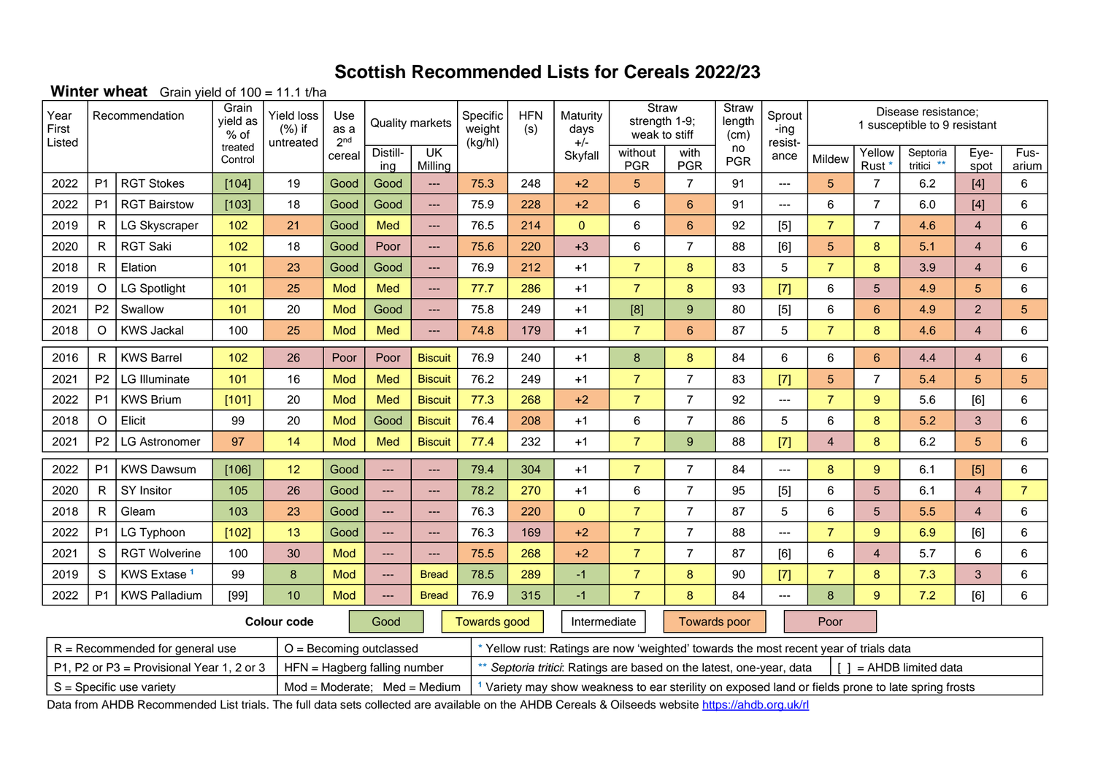### **Winter wheat** Grain yield of 100 = 11.1 t/ha

| Year<br>First<br>Listed | Grain<br>Recommendation<br>yield as<br>$%$ of |                                           | <b>Yield loss</b><br>$(\%)$ if<br>untreated | Use<br>as a<br>2 <sub>nd</sub>                                                                                                                                                                                                                        |        | <b>Quality markets</b>       | Specific<br>weight<br>(kg/hl)      | <b>HFN</b><br>(s)   | Maturity<br>days<br>$+/-$ | Straw<br>strength 1-9;<br>weak to stiff                                               |                                                                                                                                                            | Straw<br>length<br>(cm) | Sprout<br>-ing<br>resist- |                 |                | Disease resistance;<br>1 susceptible to 9 resistant |                                |                |                |
|-------------------------|-----------------------------------------------|-------------------------------------------|---------------------------------------------|-------------------------------------------------------------------------------------------------------------------------------------------------------------------------------------------------------------------------------------------------------|--------|------------------------------|------------------------------------|---------------------|---------------------------|---------------------------------------------------------------------------------------|------------------------------------------------------------------------------------------------------------------------------------------------------------|-------------------------|---------------------------|-----------------|----------------|-----------------------------------------------------|--------------------------------|----------------|----------------|
|                         |                                               |                                           | treated<br>Control                          |                                                                                                                                                                                                                                                       | cereal | Distill-<br>ing              | $\overline{\mathsf{U}}$<br>Milling |                     |                           | Skyfall                                                                               | without<br><b>PGR</b>                                                                                                                                      | with<br><b>PGR</b>      | no<br><b>PGR</b>          | ance            | Mildew         | Yellow<br>Rust <sup>*</sup>                         | Septoria<br>tritici **         | Eye-<br>spot   | Fus-<br>arium  |
| 2022                    | P <sub>1</sub>                                | <b>RGT Stokes</b>                         | [104]                                       | 19                                                                                                                                                                                                                                                    | Good   | Good                         | ---                                | 75.3                | 248                       | $+2$                                                                                  | 5                                                                                                                                                          | $\overline{7}$          | 91                        | ---             | 5              | $\overline{7}$                                      | 6.2                            | $[4]$          | 6              |
| 2022                    | P <sub>1</sub>                                | <b>RGT Bairstow</b>                       | [103]                                       | 18                                                                                                                                                                                                                                                    | Good   | Good                         | ---                                | 75.9                | 228                       | $+2$                                                                                  | 6                                                                                                                                                          | $6\phantom{a}$          | 91                        | $---$           | 6              | 7                                                   | 6.0                            | $[4]$          | 6              |
| 2019                    | $\mathsf{R}$                                  | <b>LG Skyscraper</b>                      | 102                                         | 21                                                                                                                                                                                                                                                    | Good   | Med                          | ---                                | 76.5                | 214                       | $\overline{0}$                                                                        | $\,6$                                                                                                                                                      | $6\phantom{1}$          | 92                        | $[5]$           | $\overline{7}$ | $\overline{7}$                                      | 4.6                            | $\overline{4}$ | 6              |
| 2020                    | $\mathsf{R}$                                  | <b>RGT Saki</b>                           | 102                                         | 18                                                                                                                                                                                                                                                    | Good   | Poor                         | ---                                | 75.6                | 220                       | $+3$                                                                                  | $\,6$                                                                                                                                                      | $\overline{7}$          | 88                        | [6]             | 5              | 8                                                   | 5.1                            | $\overline{4}$ | 6              |
| 2018                    | R                                             | Elation                                   | 101                                         | 23                                                                                                                                                                                                                                                    | Good   | Good                         | ---                                | 76.9                | 212                       | $+1$                                                                                  | $\overline{7}$                                                                                                                                             | 8                       | 83                        | 5               | $\overline{7}$ | 8                                                   | 3.9                            | $\overline{4}$ | 6              |
| 2019                    | $\circ$                                       | <b>LG Spotlight</b>                       | 101                                         | 25                                                                                                                                                                                                                                                    | Mod    | Med                          | ---                                | 77.7                | 286                       | $+1$                                                                                  | $\overline{7}$                                                                                                                                             | $\bf{8}$                | 93                        | $[7]$           | 6              | 5                                                   | 4.9                            | 5              | 6              |
| 2021                    | P <sub>2</sub>                                | Swallow                                   | 101                                         | 20                                                                                                                                                                                                                                                    | Mod    | Good                         | ---                                | 75.8                | 249                       | $+1$                                                                                  | $[8] % \includegraphics[width=0.9\columnwidth]{figures/fig_1a} \caption{Schematic diagram of the top of the top of the top of the right.} \label{fig:1} %$ | 9                       | 80                        | $[5]$           | 6              | $6\phantom{a}$                                      | 4.9                            | $\overline{2}$ | $\sqrt{5}$     |
| 2018                    | $\circ$                                       | <b>KWS Jackal</b>                         | 100                                         | 25                                                                                                                                                                                                                                                    | Mod    | Med                          | ---                                | 74.8                | 179                       | $+1$                                                                                  | $\overline{7}$                                                                                                                                             | $6\phantom{1}$          | 87                        | 5               | $\overline{7}$ | 8                                                   | 4.6                            | $\overline{4}$ | 6              |
| 2016                    | R                                             | <b>KWS Barrel</b>                         | 102                                         | 26                                                                                                                                                                                                                                                    | Poor   | Poor                         | <b>Biscuit</b>                     | 76.9                | 240                       | $+1$                                                                                  | 8                                                                                                                                                          | 8                       | 84                        | 6               | 6              | 6                                                   | 4.4                            | $\overline{4}$ | 6              |
| 2021                    | P <sub>2</sub>                                | LG Illuminate                             | 101                                         | 16                                                                                                                                                                                                                                                    | Mod    | Med                          | <b>Biscuit</b>                     | 76.2                | 249                       | $+1$                                                                                  | $\overline{7}$                                                                                                                                             | $\overline{7}$          | 83                        | $[7]$           | 5              | 7                                                   | 5.4                            | 5              | 5              |
| 2022                    | P <sub>1</sub>                                | <b>KWS Brium</b>                          | [101]                                       | 20                                                                                                                                                                                                                                                    | Mod    | Med                          | <b>Biscuit</b>                     | 77.3                | 268                       | $+2$                                                                                  | $\overline{7}$                                                                                                                                             | $\overline{7}$          | 92                        | $---$           | $\overline{7}$ | 9                                                   | 5.6                            | [6]            | 6              |
| 2018                    | $\circ$                                       | Elicit                                    | 99                                          | 20                                                                                                                                                                                                                                                    | Mod    | Good                         | <b>Biscuit</b>                     | 76.4                | 208                       | $+1$                                                                                  | $\,6\,$                                                                                                                                                    | $\overline{7}$          | 86                        | $5\phantom{.0}$ | 6              | 8                                                   | 5.2                            | 3              | 6              |
| 2021                    | P <sub>2</sub>                                | <b>LG Astronomer</b>                      | 97                                          | 14                                                                                                                                                                                                                                                    | Mod    | Med                          | <b>Biscuit</b>                     | 77.4                | 232                       | $+1$                                                                                  | $\overline{7}$                                                                                                                                             | 9                       | 88                        | $[7]$           | $\overline{4}$ | 8                                                   | 6.2                            | 5              | 6              |
| 2022                    | P <sub>1</sub>                                | <b>KWS Dawsum</b>                         | [106]                                       | 12                                                                                                                                                                                                                                                    | Good   | $\overline{a}$               | ---                                | 79.4                | 304                       | $+1$                                                                                  | $\overline{7}$                                                                                                                                             | $\overline{7}$          | 84                        | ---             | 8              | 9                                                   | 6.1                            | $[5]$          | 6              |
| 2020                    | R                                             | SY Insitor                                | 105                                         | 26                                                                                                                                                                                                                                                    | Good   | $\overline{a}$               | ---                                | 78.2                | 270                       | $+1$                                                                                  | $\,6\,$                                                                                                                                                    | $\overline{7}$          | 95                        | $[5]$           | 6              | 5                                                   | 6.1                            | $\overline{4}$ | $\overline{7}$ |
| 2018                    | $\mathsf{R}$                                  | Gleam                                     | 103                                         | 23                                                                                                                                                                                                                                                    | Good   | $\cdots$                     | ---                                | 76.3                | 220                       | $\overline{0}$                                                                        | $\overline{7}$                                                                                                                                             | $\overline{7}$          | 87                        | $5\phantom{.0}$ | 6              | 5                                                   | 5.5                            | $\overline{4}$ | 6              |
| 2022                    | P <sub>1</sub>                                | LG Typhoon                                | [102]                                       | 13                                                                                                                                                                                                                                                    | Good   | $\overline{a}$               | ---                                | 76.3                | 169                       | $+2$                                                                                  | $\overline{7}$                                                                                                                                             | $\overline{7}$          | 88                        | ---             | $\overline{7}$ | 9                                                   | 6.9                            | [6]            | 6              |
| 2021                    | S                                             | <b>RGT Wolverine</b>                      | 100                                         | 30                                                                                                                                                                                                                                                    | Mod    | $\cdots$                     | ---                                | 75.5                | 268                       | $+2$                                                                                  | $\overline{7}$                                                                                                                                             | $\overline{7}$          | 87                        | [6]             | 6              | 4                                                   | 5.7                            | 6              | 6              |
| 2019                    | S                                             | KWS Extase <sup>1</sup>                   | 99                                          | 8                                                                                                                                                                                                                                                     | Mod    | $\overline{a}$               | <b>Bread</b>                       | 78.5                | 289                       | $-1$                                                                                  | $\overline{7}$                                                                                                                                             | 8                       | 90                        | $[7]$           | $\overline{7}$ | 8                                                   | 7.3                            | 3              | 6              |
| 2022                    | P <sub>1</sub>                                | <b>KWS Palladium</b>                      | $[99]$                                      | 10                                                                                                                                                                                                                                                    | Mod    | $\overline{a}$               | <b>Bread</b>                       | 76.9                | 315                       | $-1$                                                                                  | $\overline{7}$                                                                                                                                             | 8                       | 84                        | $\overline{a}$  | 8              | 9                                                   | 7.2                            | [6]            | 6              |
|                         |                                               |                                           |                                             | <b>Colour code</b>                                                                                                                                                                                                                                    |        | Good                         |                                    | <b>Towards good</b> |                           | Intermediate                                                                          |                                                                                                                                                            |                         | <b>Towards poor</b>       |                 | Poor           |                                                     |                                |                |                |
|                         |                                               | $R =$ Recommended for general use         |                                             |                                                                                                                                                                                                                                                       |        | $O =$ Becoming outclassed    |                                    |                     |                           | * Yellow rust: Ratings are now 'weighted' towards the most recent year of trials data |                                                                                                                                                            |                         |                           |                 |                |                                                     |                                |                |                |
|                         |                                               | P1, P2 or P3 = Provisional Year 1, 2 or 3 |                                             |                                                                                                                                                                                                                                                       |        | HFN = Hagberg falling number |                                    |                     |                           |                                                                                       |                                                                                                                                                            |                         |                           |                 |                |                                                     | $\lceil$ ] = AHDB limited data |                |                |
|                         |                                               |                                           |                                             | ** Septoria tritici: Ratings are based on the latest, one-year, data<br>$Mod = Moderate: Med = Medium$<br><sup>1</sup> Variety may show weakness to ear sterility on exposed land or fields prone to late spring frosts<br>$S =$ Specific use variety |        |                              |                                    |                     |                           |                                                                                       |                                                                                                                                                            |                         |                           |                 |                |                                                     |                                |                |                |

Data from AHDB Recommended List trials. The full data sets collected are available on the AHDB Cereals & Oilseeds websit[e https://ahdb.org.uk/rl](https://ahdb.org.uk/rl)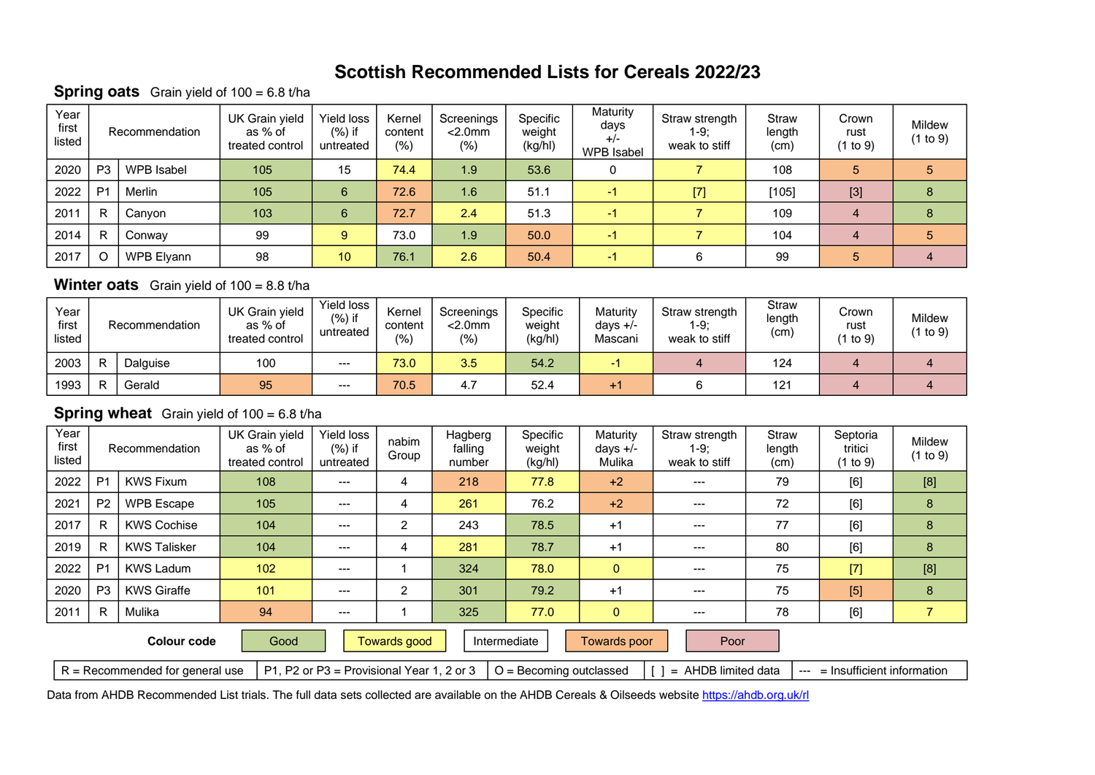#### **Spring oats** Grain yield of 100 = 6.8 t/ha

| Year<br>first<br>listed |                | Recommendation | UK Grain yield<br>as % of<br>treated control | Yield loss<br>$(\%)$ if<br>untreated | Kernel<br>content<br>(% ) | Screenings<br>$<$ 2.0 $mm$<br>$(\%)$ | Specific<br>weight<br>(kg/hl) | Maturity<br>days<br>$+/-$<br>WPB Isabel | Straw strength<br>$1-9:$<br>weak to stiff | <b>Straw</b><br>length<br>(cm) | Crown<br>rust<br>(1 to 9) | Mildew<br>(1 to 9) |
|-------------------------|----------------|----------------|----------------------------------------------|--------------------------------------|---------------------------|--------------------------------------|-------------------------------|-----------------------------------------|-------------------------------------------|--------------------------------|---------------------------|--------------------|
| 2020                    | P <sub>3</sub> | WPB Isabel     | 105                                          | 15                                   | 74.4                      | 1.9                                  | 53.6                          |                                         |                                           | 108                            | 5                         | 5                  |
| 2022                    | P <sub>1</sub> | Merlin         | 105                                          | 6                                    | 72.6                      | 1.6                                  | 51.1                          | -1                                      | $[7]$                                     | [105]                          | $[3]$                     | 8                  |
| 2011                    | R              | Canyon         | 103                                          | 6                                    | 72.7                      | 2.4                                  | 51.3                          | $-1$                                    |                                           | 109                            | 4                         | 8                  |
| 2014                    | $\mathsf{R}$   | Conway         | 99                                           | 9                                    | 73.0                      | 1.9                                  | 50.0                          | $-1$                                    |                                           | 104                            | 4                         | 5                  |
| 2017                    | $\circ$        | WPB Elyann     | 98                                           | 10                                   | 76.1                      | 2.6                                  | 50.4                          | $-1$                                    |                                           | 99                             | 5                         | 4                  |

### **Winter oats** Grain yield of 100 = 8.8 t/ha

| Year<br>first<br>listed | Recommendation |          | UK Grain yield<br>as % of<br>treated control | Yield loss<br>$(\%)$ if<br>untreated | Kernel<br>content<br>(% ) | Screenings<br>$<$ 2.0 $mm$<br>$(\% )$ | Specific<br>weight<br>(kg/hl) | Maturity<br>days $+/-$<br>Mascani | Straw strength<br>$1-9:$<br>weak to stiff | Straw<br>length<br>(c <sub>m</sub> ) | Crown<br>rust<br>1 to $9)$ | Mildew<br>(1 to 9) |
|-------------------------|----------------|----------|----------------------------------------------|--------------------------------------|---------------------------|---------------------------------------|-------------------------------|-----------------------------------|-------------------------------------------|--------------------------------------|----------------------------|--------------------|
| 2003                    | $\mathsf{R}$   | Dalguise | 100                                          | $--$                                 | 73.0                      | 3.5                                   | 54.2                          |                                   |                                           | 124                                  |                            |                    |
| 1993                    | R              | Gerald   | 95                                           | ---                                  | 70.5                      | 4.7                                   | 52.4                          | $+1$                              |                                           | 121                                  |                            |                    |

### **Spring wheat** Grain yield of 100 = 6.8 t/ha

| Year<br>first<br>listed |                | Recommendation                    | UK Grain yield<br>as % of<br>treated control | Yield loss<br>$(\%)$ if<br>untreated      | nabim<br>Group | Hagberg<br>falling<br>number | Specific<br>weight<br>(kg/h) | Maturity<br>days $+/-$<br>Mulika | Straw strength<br>$1-9$ ;<br>weak to stiff | <b>Straw</b><br>length<br>(cm) | Septoria<br>tritici<br>(1 to 9) | Mildew<br>(1 to 9) |
|-------------------------|----------------|-----------------------------------|----------------------------------------------|-------------------------------------------|----------------|------------------------------|------------------------------|----------------------------------|--------------------------------------------|--------------------------------|---------------------------------|--------------------|
| 2022                    | P <sub>1</sub> | <b>KWS Fixum</b>                  | 108                                          | ---                                       | 4              | 218                          | 77.8                         | $+2$                             | ---                                        | 79                             | [6]                             | [8]                |
| 2021                    | P <sub>2</sub> | <b>WPB Escape</b>                 | 105                                          | $---$                                     | 4              | 261                          | 76.2                         | $+2$                             | $---$                                      | 72                             | [6]                             | 8                  |
| 2017                    | R              | <b>KWS Cochise</b>                | 104                                          | $---$                                     | 2              | 243                          | 78.5                         | $+1$                             | $---$                                      | 77                             | [6]                             | 8                  |
| 2019                    | R              | <b>KWS Talisker</b>               | 104                                          | ---                                       | 4              | 281                          | 78.7                         | $+1$                             | $---$                                      | 80                             | [6]                             | 8                  |
| 2022                    | P <sub>1</sub> | <b>KWS Ladum</b>                  | 102                                          | ---                                       |                | 324                          | 78.0                         | $\mathbf{0}$                     | $---$                                      | 75                             | $[7]$                           | [8]                |
| 2020                    | P <sub>3</sub> | <b>KWS Giraffe</b>                | 101                                          | $---$                                     | 2              | 301                          | 79.2                         | $+1$                             | $---$                                      | 75                             | [5]                             | 8                  |
| 2011                    | $\mathsf{R}$   | Mulika                            | 94                                           | $---$                                     |                | 325                          | 77.0                         | $\mathbf{0}$                     | $---$                                      | 78                             | [6]                             |                    |
|                         |                | <b>Colour code</b>                | Good                                         |                                           | Towards good   |                              | Intermediate                 | Towards poor                     | Poor                                       |                                |                                 |                    |
|                         |                | $R = Recommended for general use$ |                                              | P1, P2 or P3 = Provisional Year 1, 2 or 3 |                |                              | $O =$ Becoming outclassed    |                                  | $=$ AHDB limited data                      | $---$                          | $=$ Insufficient information    |                    |

Data from AHDB Recommended List trials. The full data sets collected are available on the AHDB Cereals & Oilseeds website <https://ahdb.org.uk/rl>